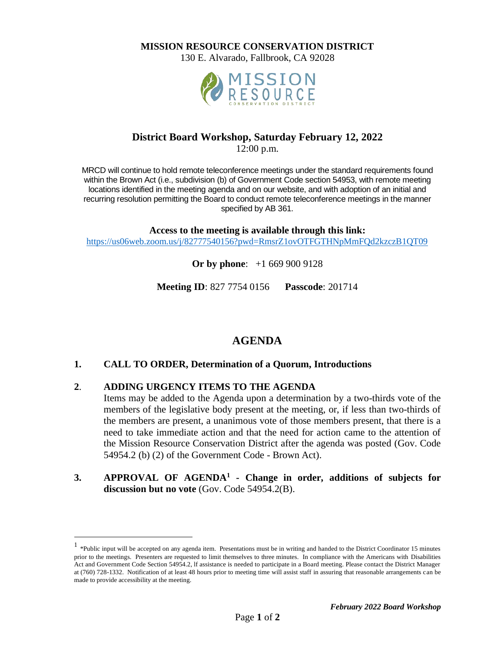**MISSION RESOURCE CONSERVATION DISTRICT**

130 E. Alvarado, Fallbrook, CA 92028



## **District Board Workshop, Saturday February 12, 2022**

12:00 p.m.

MRCD will continue to hold remote teleconference meetings under the standard requirements found within the Brown Act (i.e., subdivision (b) of Government Code section 54953, with remote meeting locations identified in the meeting agenda and on our website, and with adoption of an initial and recurring resolution permitting the Board to conduct remote teleconference meetings in the manner specified by AB 361.

**Access to the meeting is available through this link:** <https://us06web.zoom.us/j/82777540156?pwd=RmsrZ1ovOTFGTHNpMmFQd2kzczB1QT09>

**Or by phone**:+1 669 900 9128

**Meeting ID**: 827 7754 0156 **Passcode**: 201714

# **AGENDA**

#### **1. CALL TO ORDER, Determination of a Quorum, Introductions**

#### **2**. **ADDING URGENCY ITEMS TO THE AGENDA**

Items may be added to the Agenda upon a determination by a two-thirds vote of the members of the legislative body present at the meeting, or, if less than two-thirds of the members are present, a unanimous vote of those members present, that there is a need to take immediate action and that the need for action came to the attention of the Mission Resource Conservation District after the agenda was posted (Gov. Code 54954.2 (b) (2) of the Government Code - Brown Act).

**3. APPROVAL OF AGENDA<sup>1</sup> - Change in order, additions of subjects for discussion but no vote** (Gov. Code 54954.2(B).

<sup>&</sup>lt;sup>1</sup> \*Public input will be accepted on any agenda item. Presentations must be in writing and handed to the District Coordinator 15 minutes prior to the meetings. Presenters are requested to limit themselves to three minutes. In compliance with the Americans with Disabilities Act and Government Code Section 54954.2, lf assistance is needed to participate in a Board meeting. Please contact the District Manager at (760) 728-1332. Notification of at least 48 hours prior to meeting time will assist staff in assuring that reasonable arrangements can be made to provide accessibility at the meeting.